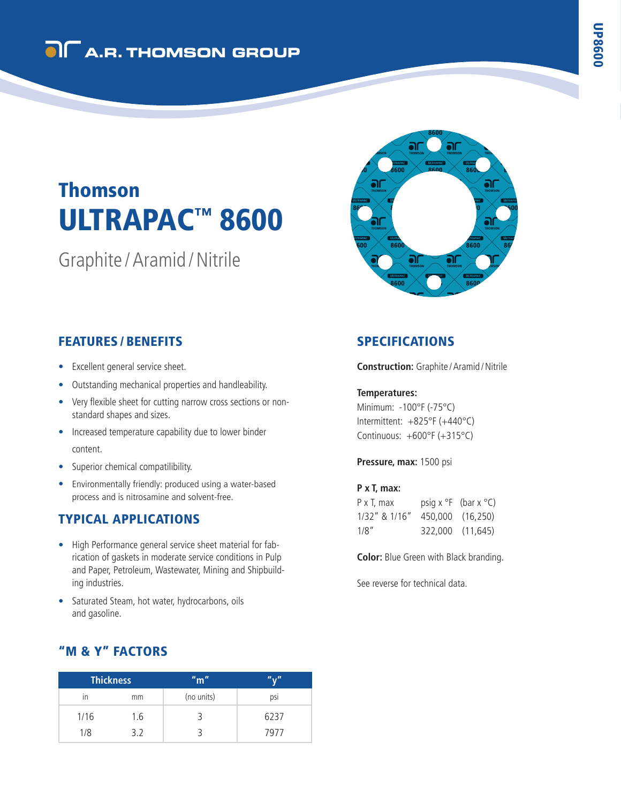## **OI** A.R. THOMSON GROUP

# ULTRAPAC™ 8600 Thomson

Graphite /Aramid /Nitrile



## FEATURES / BENEFITS

- Excellent general service sheet.
- Outstanding mechanical properties and handleability.
- Very flexible sheet for cutting narrow cross sections or nonstandard shapes and sizes.
- Increased temperature capability due to lower binder content.
- Superior chemical compatilibility.
- Environmentally friendly: produced using a water-based process and is nitrosamine and solvent-free.

## TYPICAL APPLICATIONS

- High Performance general service sheet material for fabrication of gaskets in moderate service conditions in Pulp and Paper, Petroleum, Wastewater, Mining and Shipbuilding industries.
- Saturated Steam, hot water, hydrocarbons, oils and gasoline.

## "M & Y" FACTORS

| <b>Thickness</b> |     | "m"        | <i>n., n</i> |
|------------------|-----|------------|--------------|
| ın               | mm  | (no units) | psi          |
| 1/16             | 1.6 |            | 6237         |
| 1/8              | 3.2 |            | 7977         |

## SPECIFICATIONS

**Construction:** Graphite / Aramid / Nitrile

#### **Temperatures:**

Minimum: -100°F (-75°C) Intermittent: +825°F (+440°C) Continuous: +600°F (+315°C)

**Pressure, max:** 1500 psi

#### **P x T, max:**

| P x T, max    | psig $x^{\circ}F$ (bar $x^{\circ}C$ ) |  |
|---------------|---------------------------------------|--|
| 1/32" & 1/16" | 450,000 (16,250)                      |  |
| 1/8"          | 322,000 (11,645)                      |  |

**Color:** Blue Green with Black branding.

See reverse for technical data.